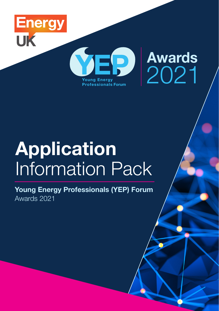

# Application Information Pack

Young Energy Professionals (YEP) Forum Awards 2021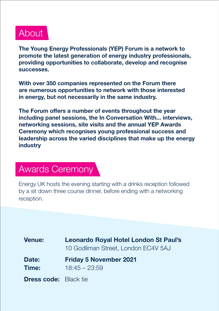

The Young Energy Professionals (YEP) Forum is a network to promote the latest generation of energy industry professionals, providing opportunities to collaborate, develop and recognise successes.

With over 350 companies represented on the Forum there are numerous opportunities to network with those interested in energy, but not necessarily in the same industry.

The Forum offers a number of events throughout the year including panel sessions, the In Conversation With... interviews, networking sessions, site visits and the annual YEP Awards Ceremony which recognises young professional success and leadership across the varied disciplines that make up the energy industry

### Awards Ceremony

Energy UK hosts the evening starting with a drinks reception followed by a sit down three course dinner, before ending with a networking reception.

| <b>Venue:</b>                | <b>Leonardo Royal Hotel London St Paul's</b><br>10 Godliman Street, London EC4V 5AJ |
|------------------------------|-------------------------------------------------------------------------------------|
| Date:<br>Time:               | <b>Friday 5 November 2021</b><br>$18:45 - 23:59$                                    |
| <b>Dress code:</b> Black tie |                                                                                     |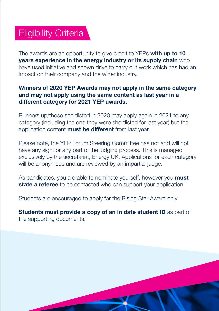### Eligibility Criteria

The awards are an opportunity to give credit to YEPs with up to 10 years experience in the energy industry or its supply chain who have used initiative and shown drive to carry out work which has had an impact on their company and the wider industry.

#### Winners of 2020 YEP Awards may not apply in the same category and may not apply using the same content as last year in a different category for 2021 YEP awards.

Runners up/those shortlisted in 2020 may apply again in 2021 to any category (including the one they were shortlisted for last year) but the application content **must be different** from last year.

Please note, the YEP Forum Steering Committee has not and will not have any sight or any part of the judging process. This is managed exclusively by the secretariat, Energy UK. Applications for each category will be anonymous and are reviewed by an impartial judge.

As candidates, you are able to nominate yourself, however you **must** state a referee to be contacted who can support your application.

Students are encouraged to apply for the Rising Star Award only.

Students must provide a copy of an in date student ID as part of the supporting documents.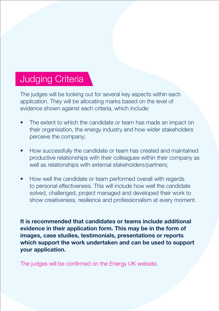### Judging Criteria

The judges will be looking out for several key aspects within each application. They will be allocating marks based on the level of evidence shown against each criteria, which include:

- The extent to which the candidate or team has made an impact on their organisation, the energy industry and how wider stakeholders perceive the company;
- How successfully the candidate or team has created and maintained productive relationships with their colleagues within their company as well as relationships with external stakeholders/partners;
- How well the candidate or team performed overall with regards to personal effectiveness. This will include how well the candidate solved, challenged, project managed and developed their work to show creativeness, resilience and professionalism at every moment.

It is recommended that candidates or teams include additional evidence in their application form. This may be in the form of images, case studies, testimonials, presentations or reports which support the work undertaken and can be used to support your application.

The judges will be confirmed on the Energy UK website.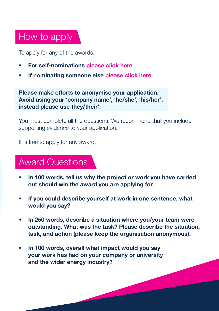## How to apply

To apply for any of the awards:

- For self-nominations [please click here](https://yepforum.typeform.com/to/BJNIcsHJ)
- If nominating someone else [please click here](https://yepforum.typeform.com/to/QQRCnjMd)

Please make efforts to anonymise your application. Avoid using your 'company name', 'he/she', 'his/her', instead please use they/their'.

You must complete all the questions. We recommend that you include supporting evidence to your application.

It is free to apply for any award.

## Award Questions

- In 100 words, tell us why the project or work you have carried out should win the award you are applying for.
- If you could describe yourself at work in one sentence, what would you say?
- In 250 words, describe a situation where you/your team were outstanding. What was the task? Please describe the situation, task, and action (please keep the organisation anonymous).
- In 100 words, overall what impact would you say your work has had on your company or university and the wider energy industry?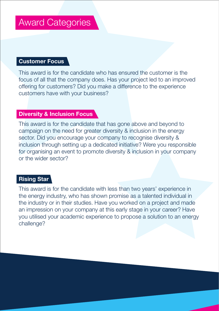### Award Categories

#### Customer Focus

This award is for the candidate who has ensured the customer is the focus of all that the company does. Has your project led to an improved offering for customers? Did you make a difference to the experience customers have with your business?

#### Diversity & Inclusion Focus

This award is for the candidate that has gone above and beyond to campaign on the need for greater diversity & inclusion in the energy sector. Did you encourage your company to recognise diversity & inclusion through setting up a dedicated initiative? Were you responsible for organising an event to promote diversity & inclusion in your company or the wider sector?

#### Rising Star

This award is for the candidate with less than two years' experience in the energy industry, who has shown promise as a talented individual in the industry or in their studies. Have you worked on a project and made an impression on your company at this early stage in your career? Have you utilised your academic experience to propose a solution to an energy challenge?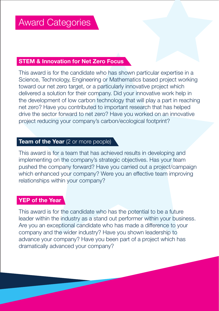#### STEM & Innovation for Net Zero Focus

This award is for the candidate who has shown particular expertise in a Science, Technology, Engineering or Mathematics based project working toward our net zero target, or a particularly innovative project which delivered a solution for their company. Did your innovative work help in the development of low carbon technology that will play a part in reaching net zero? Have you contributed to important research that has helped drive the sector forward to net zero? Have you worked on an innovative project reducing your company's carbon/ecological footprint?

#### Team of the Year (2 or more people)

This award is for a team that has achieved results in developing and implementing on the company's strategic objectives. Has your team pushed the company forward? Have you carried out a project/campaign which enhanced your company? Were you an effective team improving relationships within your company?

#### YEP of the Year

This award is for the candidate who has the potential to be a future leader within the industry as a stand out performer within your business. Are you an exceptional candidate who has made a difference to your company and the wider industry? Have you shown leadership to advance your company? Have you been part of a project which has dramatically advanced your company?